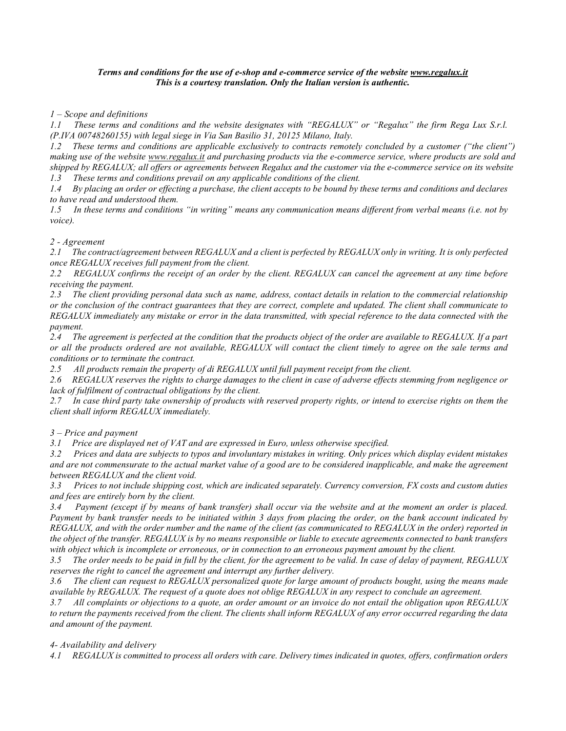### Terms and conditions for the use of e-shop and e-commerce service of the website www.regalux.it This is a courtesy translation. Only the Italian version is authentic.

1 – Scope and definitions

1.1 These terms and conditions and the website designates with "REGALUX" or "Regalux" the firm Rega Lux S.r.l. (P.IVA 00748260155) with legal siege in Via San Basilio 31, 20125 Milano, Italy.

1.2 These terms and conditions are applicable exclusively to contracts remotely concluded by a customer ("the client") making use of the website www.regalux.it and purchasing products via the e-commerce service, where products are sold and shipped by REGALUX; all offers or agreements between Regalux and the customer via the e-commerce service on its website 1.3 These terms and conditions prevail on any applicable conditions of the client.

1.4 By placing an order or effecting a purchase, the client accepts to be bound by these terms and conditions and declares to have read and understood them.

1.5 In these terms and conditions "in writing" means any communication means different from verbal means (i.e. not by voice).

# 2 - Agreement

2.1 The contract/agreement between REGALUX and a client is perfected by REGALUX only in writing. It is only perfected once REGALUX receives full payment from the client.

2.2 REGALUX confirms the receipt of an order by the client. REGALUX can cancel the agreement at any time before receiving the payment.

2.3 The client providing personal data such as name, address, contact details in relation to the commercial relationship or the conclusion of the contract guarantees that they are correct, complete and updated. The client shall communicate to REGALUX immediately any mistake or error in the data transmitted, with special reference to the data connected with the payment.

2.4 The agreement is perfected at the condition that the products object of the order are available to REGALUX. If a part or all the products ordered are not available, REGALUX will contact the client timely to agree on the sale terms and conditions or to terminate the contract.

2.5 All products remain the property of di REGALUX until full payment receipt from the client.

2.6 REGALUX reserves the rights to charge damages to the client in case of adverse effects stemming from negligence or lack of fulfilment of contractual obligations by the client.

2.7 In case third party take ownership of products with reserved property rights, or intend to exercise rights on them the client shall inform REGALUX immediately.

3 – Price and payment

3.1 Price are displayed net of VAT and are expressed in Euro, unless otherwise specified.

3.2 Prices and data are subjects to typos and involuntary mistakes in writing. Only prices which display evident mistakes and are not commensurate to the actual market value of a good are to be considered inapplicable, and make the agreement between REGALUX and the client void.

3.3 Prices to not include shipping cost, which are indicated separately. Currency conversion, FX costs and custom duties and fees are entirely born by the client.

3.4 Payment (except if by means of bank transfer) shall occur via the website and at the moment an order is placed. Payment by bank transfer needs to be initiated within 3 days from placing the order, on the bank account indicated by REGALUX, and with the order number and the name of the client (as communicated to REGALUX in the order) reported in the object of the transfer. REGALUX is by no means responsible or liable to execute agreements connected to bank transfers with object which is incomplete or erroneous, or in connection to an erroneous payment amount by the client.

3.5 The order needs to be paid in full by the client, for the agreement to be valid. In case of delay of payment, REGALUX reserves the right to cancel the agreement and interrupt any further delivery.

3.6 The client can request to REGALUX personalized quote for large amount of products bought, using the means made available by REGALUX. The request of a quote does not oblige REGALUX in any respect to conclude an agreement.

3.7 All complaints or objections to a quote, an order amount or an invoice do not entail the obligation upon REGALUX to return the payments received from the client. The clients shall inform REGALUX of any error occurred regarding the data and amount of the payment.

# 4- Availability and delivery

4.1 REGALUX is committed to process all orders with care. Delivery times indicated in quotes, offers, confirmation orders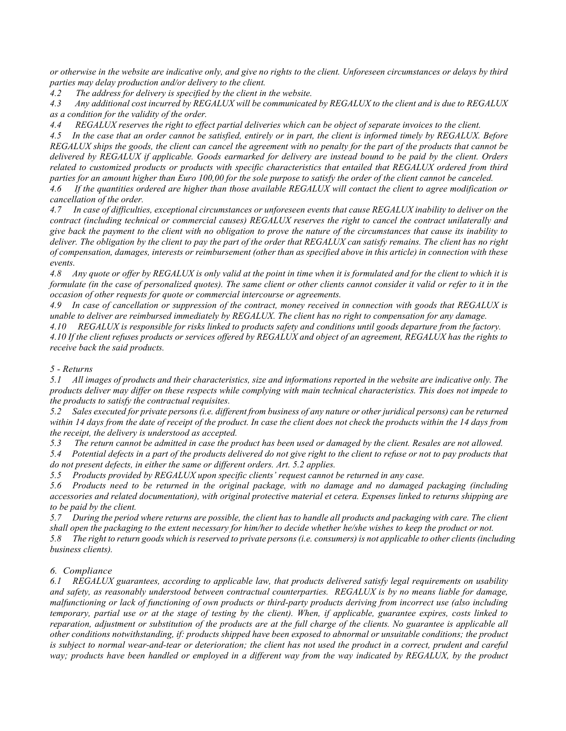or otherwise in the website are indicative only, and give no rights to the client. Unforeseen circumstances or delays by third parties may delay production and/or delivery to the client.

4.2 The address for delivery is specified by the client in the website.

4.3 Any additional cost incurred by REGALUX will be communicated by REGALUX to the client and is due to REGALUX as a condition for the validity of the order.

4.4 REGALUX reserves the right to effect partial deliveries which can be object of separate invoices to the client.

4.5 In the case that an order cannot be satisfied, entirely or in part, the client is informed timely by REGALUX. Before REGALUX ships the goods, the client can cancel the agreement with no penalty for the part of the products that cannot be delivered by REGALUX if applicable. Goods earmarked for delivery are instead bound to be paid by the client. Orders related to customized products or products with specific characteristics that entailed that REGALUX ordered from third parties for an amount higher than Euro 100,00 for the sole purpose to satisfy the order of the client cannot be canceled.

4.6 If the quantities ordered are higher than those available REGALUX will contact the client to agree modification or cancellation of the order.

4.7 In case of difficulties, exceptional circumstances or unforeseen events that cause REGALUX inability to deliver on the contract (including technical or commercial causes) REGALUX reserves the right to cancel the contract unilaterally and give back the payment to the client with no obligation to prove the nature of the circumstances that cause its inability to deliver. The obligation by the client to pay the part of the order that REGALUX can satisfy remains. The client has no right of compensation, damages, interests or reimbursement (other than as specified above in this article) in connection with these events.

4.8 Any quote or offer by REGALUX is only valid at the point in time when it is formulated and for the client to which it is formulate (in the case of personalized quotes). The same client or other clients cannot consider it valid or refer to it in the occasion of other requests for quote or commercial intercourse or agreements.

4.9 In case of cancellation or suppression of the contract, money received in connection with goods that REGALUX is unable to deliver are reimbursed immediately by REGALUX. The client has no right to compensation for any damage.

4.10 REGALUX is responsible for risks linked to products safety and conditions until goods departure from the factory. 4.10 If the client refuses products or services offered by REGALUX and object of an agreement, REGALUX has the rights to receive back the said products.

### 5 - Returns

5.1 All images of products and their characteristics, size and informations reported in the website are indicative only. The products deliver may differ on these respects while complying with main technical characteristics. This does not impede to the products to satisfy the contractual requisites.

5.2 Sales executed for private persons (i.e. different from business of any nature or other juridical persons) can be returned within 14 days from the date of receipt of the product. In case the client does not check the products within the 14 days from the receipt, the delivery is understood as accepted.

5.3 The return cannot be admitted in case the product has been used or damaged by the client. Resales are not allowed.

5.4 Potential defects in a part of the products delivered do not give right to the client to refuse or not to pay products that do not present defects, in either the same or different orders. Art. 5.2 applies.

5.5 Products provided by REGALUX upon specific clients' request cannot be returned in any case.

5.6 Products need to be returned in the original package, with no damage and no damaged packaging (including accessories and related documentation), with original protective material et cetera. Expenses linked to returns shipping are to be paid by the client.

5.7 During the period where returns are possible, the client has to handle all products and packaging with care. The client shall open the packaging to the extent necessary for him/her to decide whether he/she wishes to keep the product or not.

5.8 The right to return goods which is reserved to private persons (i.e. consumers) is not applicable to other clients (including business clients).

# 6. Compliance

6.1 REGALUX guarantees, according to applicable law, that products delivered satisfy legal requirements on usability and safety, as reasonably understood between contractual counterparties. REGALUX is by no means liable for damage, malfunctioning or lack of functioning of own products or third-party products deriving from incorrect use (also including temporary, partial use or at the stage of testing by the client). When, if applicable, guarantee expires, costs linked to reparation, adjustment or substitution of the products are at the full charge of the clients. No guarantee is applicable all other conditions notwithstanding, if: products shipped have been exposed to abnormal or unsuitable conditions; the product is subject to normal wear-and-tear or deterioration; the client has not used the product in a correct, prudent and careful way; products have been handled or employed in a different way from the way indicated by REGALUX, by the product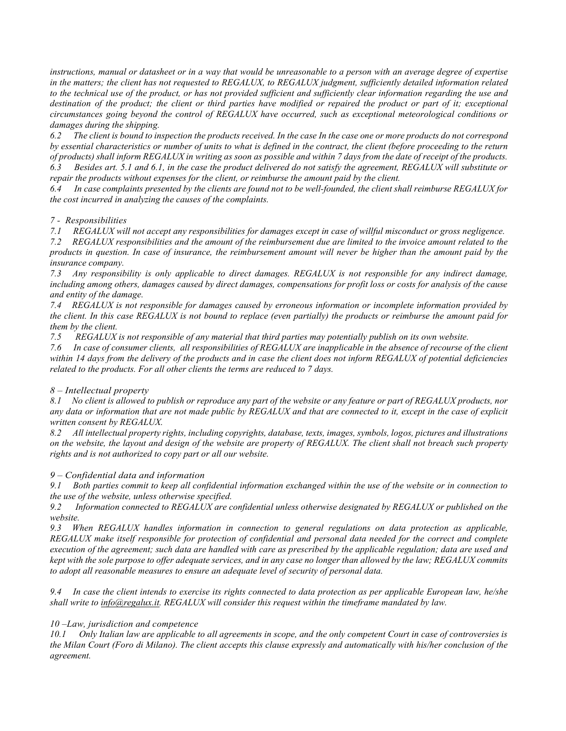instructions, manual or datasheet or in a way that would be unreasonable to a person with an average degree of expertise in the matters; the client has not requested to REGALUX, to REGALUX judgment, sufficiently detailed information related to the technical use of the product, or has not provided sufficient and sufficiently clear information regarding the use and destination of the product; the client or third parties have modified or repaired the product or part of it; exceptional circumstances going beyond the control of REGALUX have occurred, such as exceptional meteorological conditions or damages during the shipping.

6.2 The client is bound to inspection the products received. In the case In the case one or more products do not correspond by essential characteristics or number of units to what is defined in the contract, the client (before proceeding to the return of products) shall inform REGALUX in writing as soon as possible and within 7 days from the date of receipt of the products. 6.3 Besides art. 5.1 and 6.1, in the case the product delivered do not satisfy the agreement, REGALUX will substitute or repair the products without expenses for the client, or reimburse the amount paid by the client.

6.4 In case complaints presented by the clients are found not to be well-founded, the client shall reimburse REGALUX for the cost incurred in analyzing the causes of the complaints.

7 - Responsibilities

7.1 REGALUX will not accept any responsibilities for damages except in case of willful misconduct or gross negligence.

7.2 REGALUX responsibilities and the amount of the reimbursement due are limited to the invoice amount related to the products in question. In case of insurance, the reimbursement amount will never be higher than the amount paid by the insurance company.

7.3 Any responsibility is only applicable to direct damages. REGALUX is not responsible for any indirect damage, including among others, damages caused by direct damages, compensations for profit loss or costs for analysis of the cause and entity of the damage.

7.4 REGALUX is not responsible for damages caused by erroneous information or incomplete information provided by the client. In this case REGALUX is not bound to replace (even partially) the products or reimburse the amount paid for them by the client.

7.5 REGALUX is not responsible of any material that third parties may potentially publish on its own website.

7.6 In case of consumer clients, all responsibilities of REGALUX are inapplicable in the absence of recourse of the client within 14 days from the delivery of the products and in case the client does not inform REGALUX of potential deficiencies related to the products. For all other clients the terms are reduced to 7 days.

# 8 – Intellectual property

8.1 No client is allowed to publish or reproduce any part of the website or any feature or part of REGALUX products, nor any data or information that are not made public by REGALUX and that are connected to it, except in the case of explicit written consent by REGALUX.

8.2 All intellectual property rights, including copyrights, database, texts, images, symbols, logos, pictures and illustrations on the website, the layout and design of the website are property of REGALUX. The client shall not breach such property rights and is not authorized to copy part or all our website.

### 9 – Confidential data and information

9.1 Both parties commit to keep all confidential information exchanged within the use of the website or in connection to the use of the website, unless otherwise specified.

9.2 Information connected to REGALUX are confidential unless otherwise designated by REGALUX or published on the website.

9.3 When REGALUX handles information in connection to general regulations on data protection as applicable, REGALUX make itself responsible for protection of confidential and personal data needed for the correct and complete execution of the agreement; such data are handled with care as prescribed by the applicable regulation; data are used and kept with the sole purpose to offer adequate services, and in any case no longer than allowed by the law; REGALUX commits to adopt all reasonable measures to ensure an adequate level of security of personal data.

9.4 In case the client intends to exercise its rights connected to data protection as per applicable European law, he/she shall write to *info@regalux.it.* REGALUX will consider this request within the timeframe mandated by law.

# 10 –Law, jurisdiction and competence

10.1 Only Italian law are applicable to all agreements in scope, and the only competent Court in case of controversies is the Milan Court (Foro di Milano). The client accepts this clause expressly and automatically with his/her conclusion of the agreement.